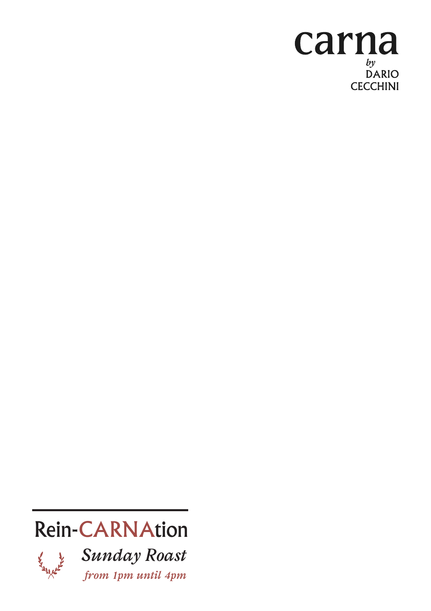### carna  $by$ <br>DARIO **CECCHINI**

# Rein-CARNAtion



*Sunday Roast from 1pm until 4pm*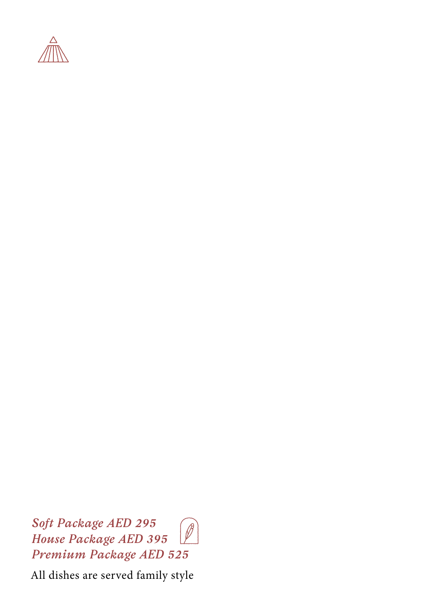

*Soft Package AED 295* Ø *House Package AED 395 Premium Package AED 525*

All dishes are served family style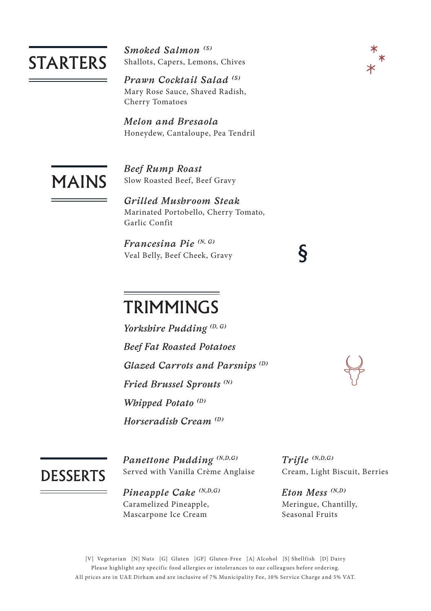#### **STARTERS**

*Smoked Salmon (S)* Shallots, Capers, Lemons, Chives

*Prawn Cocktail Salad (S)* Mary Rose Sauce, Shaved Radish, Cherry Tomatoes

*Melon and Bresaola* Honeydew, Cantaloupe, Pea Tendril

## MAINS

*Beef Rump Roast* Slow Roasted Beef, Beef Gravy

*Grilled Mushroom Steak* Marinated Portobello, Cherry Tomato, Garlic Confit

*Francesina Pie (N, G)* Veal Belly, Beef Cheek, Gravy

#### **TRIMMINGS**

*Yorkshire Pudding (D, G) Beef Fat Roasted Potatoes Glazed Carrots and Parsnips (D) Fried Brussel Sprouts (N) Whipped Potato (D) Horseradish Cream (D)*

**DESSERTS** 

*Panettone Pudding (N,D,G)* Served with Vanilla Crème Anglaise

*Pineapple Cake (N,D,G)* Caramelized Pineapple, Mascarpone Ice Cream

*Trifle (N,D,G)* Cream, Light Biscuit, Berries

*Eton Mess (N,D)*  Meringue, Chantilly, Seasonal Fruits

 $\boldsymbol{\delta}$ 

[V] Vegetarian [N] Nuts [G] Gluten [GF] Gluten-Free [A] Alcohol [S] Shellfish [D] Dairy Please highlight any specific food allergies or intolerances to our colleagues before ordering. All prices are in UAE Dirham and are inclusive of 7% Municipality Fee, 10% Ser vice Charge and 5% VAT.